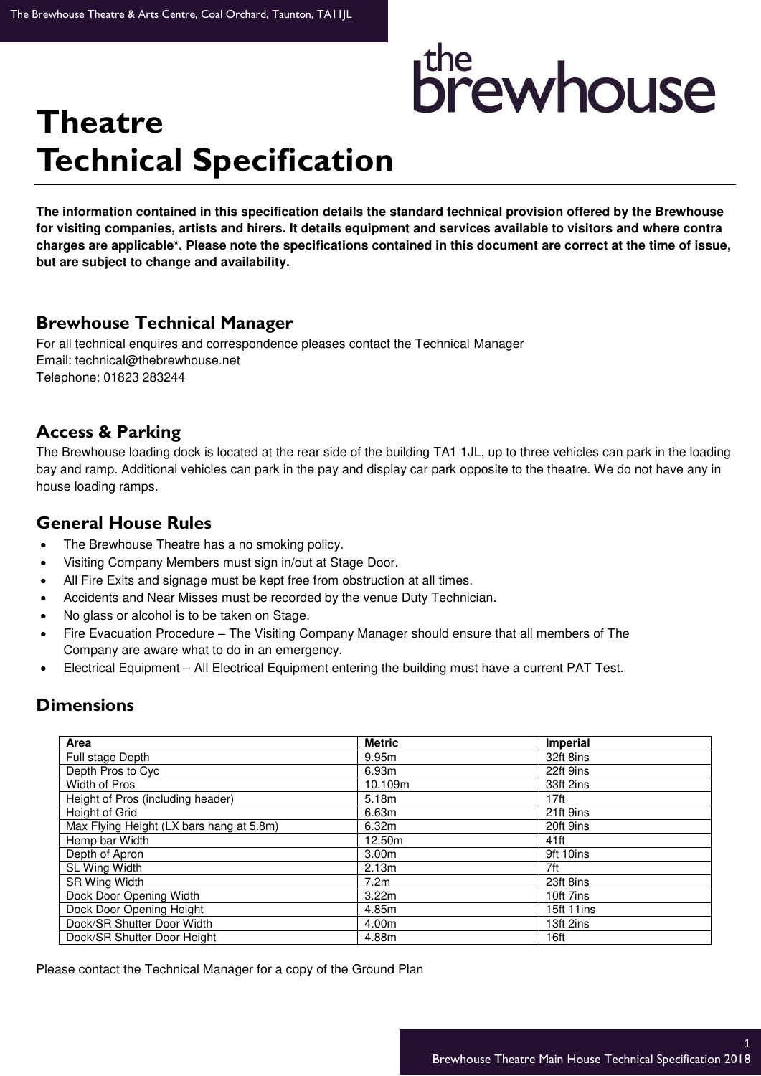# <sup>the</sup><br>Drewhouse

## **Theatre Technical Specification**

**The information contained in this specification details the standard technical provision offered by the Brewhouse for visiting companies, artists and hirers. It details equipment and services available to visitors and where contra charges are applicable\*. Please note the specifications contained in this document are correct at the time of issue, but are subject to change and availability.** 

#### **Brewhouse Technical Manager**

For all technical enquires and correspondence pleases contact the Technical Manager Email: technical@thebrewhouse.net Telephone: 01823 283244

#### **Access & Parking**

The Brewhouse loading dock is located at the rear side of the building TA1 1JL, up to three vehicles can park in the loading bay and ramp. Additional vehicles can park in the pay and display car park opposite to the theatre. We do not have any in house loading ramps.

#### **General House Rules**

- The Brewhouse Theatre has a no smoking policy.
- Visiting Company Members must sign in/out at Stage Door.
- All Fire Exits and signage must be kept free from obstruction at all times.
- Accidents and Near Misses must be recorded by the venue Duty Technician.
- No glass or alcohol is to be taken on Stage.
- Fire Evacuation Procedure The Visiting Company Manager should ensure that all members of The Company are aware what to do in an emergency.
- Electrical Equipment All Electrical Equipment entering the building must have a current PAT Test.

#### **Dimensions**

| Area                                     | <b>Metric</b>     | <b>Imperial</b>  |
|------------------------------------------|-------------------|------------------|
| Full stage Depth                         | 9.95m             | 32ft 8ins        |
| Depth Pros to Cyc                        | 6.93m             | 22ft 9ins        |
| Width of Pros                            | 10.109m           | 33ft 2ins        |
| Height of Pros (including header)        | 5.18m             | 17 <sup>ft</sup> |
| Height of Grid                           | 6.63m             | 21ft 9ins        |
| Max Flying Height (LX bars hang at 5.8m) | 6.32m             | 20ft 9ins        |
| Hemp bar Width                           | 12.50m            | $41$ ft          |
| Depth of Apron                           | 3.00 <sub>m</sub> | 9ft 10ins        |
| SL Wing Width                            | 2.13 <sub>m</sub> | 7ft              |
| SR Wing Width                            | 7.2 <sub>m</sub>  | 23ft 8ins        |
| Dock Door Opening Width                  | 3.22m             | 10ft 7ins        |
| Dock Door Opening Height                 | 4.85m             | 15ft 11ins       |
| Dock/SR Shutter Door Width               | 4.00m             | 13ft 2ins        |
| Dock/SR Shutter Door Height              | 4.88m             | 16ft             |

Please contact the Technical Manager for a copy of the Ground Plan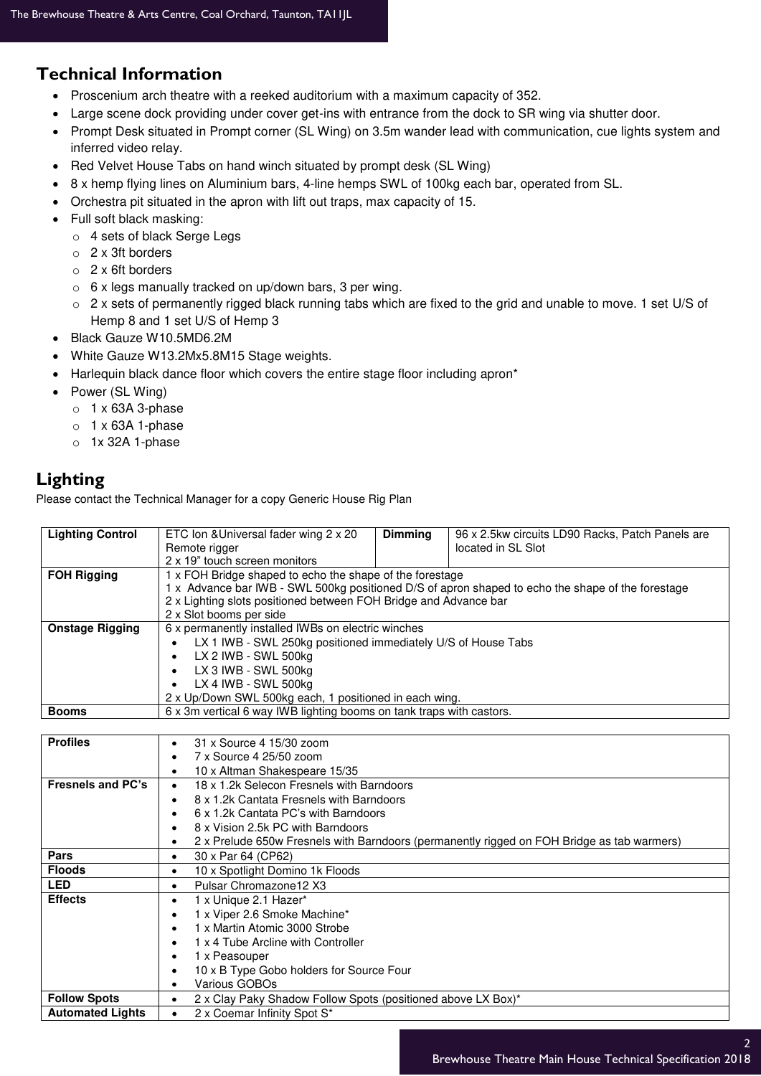### **Technical Information**

- Proscenium arch theatre with a reeked auditorium with a maximum capacity of 352.
- Large scene dock providing under cover get-ins with entrance from the dock to SR wing via shutter door.
- Prompt Desk situated in Prompt corner (SL Wing) on 3.5m wander lead with communication, cue lights system and inferred video relay.
- Red Velvet House Tabs on hand winch situated by prompt desk (SL Wing)
- 8 x hemp flying lines on Aluminium bars, 4-line hemps SWL of 100kg each bar, operated from SL.
- Orchestra pit situated in the apron with lift out traps, max capacity of 15.
- Full soft black masking:
	- o 4 sets of black Serge Legs
	- o 2 x 3ft borders
	- o 2 x 6ft borders
	- o 6 x legs manually tracked on up/down bars, 3 per wing.
	- $\circ$  2 x sets of permanently rigged black running tabs which are fixed to the grid and unable to move. 1 set U/S of Hemp 8 and 1 set U/S of Hemp 3
- Black Gauze W10.5MD6.2M
- White Gauze W13.2Mx5.8M15 Stage weights.
- Harlequin black dance floor which covers the entire stage floor including apron\*
- Power (SL Wing)
	- $\circ$  1 x 63A 3-phase
	- $\circ$  1 x 63A 1-phase
	- o 1x 32A 1-phase

#### **Lighting**

Please contact the Technical Manager for a copy Generic House Rig Plan

| <b>Lighting Control</b>                                                              | ETC Ion & Universal fader wing 2 x 20                                                                   | <b>Dimming</b> | 96 x 2.5kw circuits LD90 Racks, Patch Panels are                                                  |  |  |  |
|--------------------------------------------------------------------------------------|---------------------------------------------------------------------------------------------------------|----------------|---------------------------------------------------------------------------------------------------|--|--|--|
|                                                                                      | Remote rigger                                                                                           |                | located in SL Slot                                                                                |  |  |  |
|                                                                                      | 2 x 19" touch screen monitors                                                                           |                |                                                                                                   |  |  |  |
| <b>FOH Rigging</b>                                                                   | 1 x FOH Bridge shaped to echo the shape of the forestage                                                |                |                                                                                                   |  |  |  |
|                                                                                      |                                                                                                         |                | 1 x Advance bar IWB - SWL 500kg positioned D/S of apron shaped to echo the shape of the forestage |  |  |  |
|                                                                                      | 2 x Lighting slots positioned between FOH Bridge and Advance bar                                        |                |                                                                                                   |  |  |  |
|                                                                                      | 2 x Slot booms per side                                                                                 |                |                                                                                                   |  |  |  |
| <b>Onstage Rigging</b>                                                               | 6 x permanently installed IWBs on electric winches                                                      |                |                                                                                                   |  |  |  |
|                                                                                      | LX 1 IWB - SWL 250kg positioned immediately U/S of House Tabs                                           |                |                                                                                                   |  |  |  |
|                                                                                      | LX 2 IWB - SWL 500kg<br>$\bullet$                                                                       |                |                                                                                                   |  |  |  |
|                                                                                      | LX 3 IWB - SWL 500kg                                                                                    |                |                                                                                                   |  |  |  |
|                                                                                      | LX 4 IWB - SWL 500kg                                                                                    |                |                                                                                                   |  |  |  |
|                                                                                      | 2 x Up/Down SWL 500kg each, 1 positioned in each wing.                                                  |                |                                                                                                   |  |  |  |
| 6 x 3m vertical 6 way IWB lighting booms on tank traps with castors.<br><b>Booms</b> |                                                                                                         |                |                                                                                                   |  |  |  |
|                                                                                      |                                                                                                         |                |                                                                                                   |  |  |  |
| <b>Profiles</b>                                                                      | 31 x Source 4 15/30 zoom<br>$\bullet$                                                                   |                |                                                                                                   |  |  |  |
|                                                                                      | 7 x Source 4 25/50 zoom<br>$\bullet$                                                                    |                |                                                                                                   |  |  |  |
|                                                                                      | 10 x Altman Shakespeare 15/35<br>٠                                                                      |                |                                                                                                   |  |  |  |
| Fresnels and PC's                                                                    | 18 x 1.2k Selecon Fresnels with Barndoors<br>$\bullet$                                                  |                |                                                                                                   |  |  |  |
|                                                                                      | 8 x 1.2k Cantata Fresnels with Barndoors<br>$\bullet$                                                   |                |                                                                                                   |  |  |  |
|                                                                                      | 6 x 1.2k Cantata PC's with Barndoors<br>$\bullet$                                                       |                |                                                                                                   |  |  |  |
|                                                                                      | 8 x Vision 2.5k PC with Barndoors<br>$\bullet$                                                          |                |                                                                                                   |  |  |  |
|                                                                                      | 2 x Prelude 650w Fresnels with Barndoors (permanently rigged on FOH Bridge as tab warmers)<br>$\bullet$ |                |                                                                                                   |  |  |  |
| Pars                                                                                 | 30 x Par 64 (CP62)<br>$\bullet$                                                                         |                |                                                                                                   |  |  |  |
| <b>Floods</b>                                                                        | 10 x Spotlight Domino 1k Floods<br>$\bullet$                                                            |                |                                                                                                   |  |  |  |
| <b>LED</b>                                                                           | Pulsar Chromazone12 X3<br>$\bullet$                                                                     |                |                                                                                                   |  |  |  |
| <b>Effects</b>                                                                       | 1 x Unique 2.1 Hazer*<br>$\bullet$                                                                      |                |                                                                                                   |  |  |  |
|                                                                                      | 1 x Viper 2.6 Smoke Machine*<br>$\bullet$                                                               |                |                                                                                                   |  |  |  |
|                                                                                      | 1 x Martin Atomic 3000 Strobe<br>$\bullet$                                                              |                |                                                                                                   |  |  |  |
|                                                                                      | 1 x 4 Tube Arcline with Controller<br>$\bullet$                                                         |                |                                                                                                   |  |  |  |
|                                                                                      | 1 x Peasouper<br>$\bullet$                                                                              |                |                                                                                                   |  |  |  |
|                                                                                      | 10 x B Type Gobo holders for Source Four<br>$\bullet$                                                   |                |                                                                                                   |  |  |  |
|                                                                                      | Various GOBOs<br>$\bullet$                                                                              |                |                                                                                                   |  |  |  |
| <b>Follow Spots</b>                                                                  | 2 x Clay Paky Shadow Follow Spots (positioned above LX Box)*<br>$\bullet$                               |                |                                                                                                   |  |  |  |
| <b>Automated Lights</b>                                                              | 2 x Coemar Infinity Spot S*<br>$\bullet$                                                                |                |                                                                                                   |  |  |  |